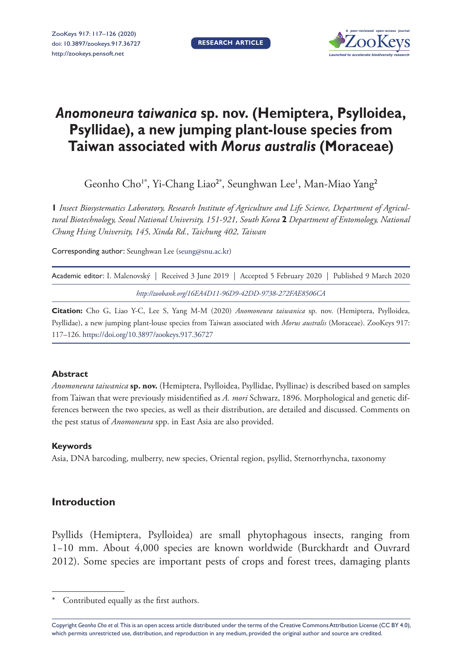**RESEARCH ARTICLE**



# *Anomoneura taiwanica* **sp. nov. (Hemiptera, Psylloidea, Psyllidae), a new jumping plant-louse species from Taiwan associated with** *Morus australis* **(Moraceae)**

Geonho Cho<sup>1\*</sup>, Yi-Chang Liao<sup>2\*</sup>, Seunghwan Lee', Man-Miao Yang<sup>2</sup>

**1** *Insect Biosystematics Laboratory, Research Institute of Agriculture and Life Science, Department of Agricultural Biotechnology, Seoul National University, 151-921, South Korea* **2** *Department of Entomology, National Chung Hsing University, 145, Xinda Rd., Taichung 402, Taiwan*

Corresponding author: Seunghwan Lee ([seung@snu.ac.kr](mailto:seung@snu.ac.kr))

| Academic editor: I. Malenovský   Received 3 June 2019   Accepted 5 February 2020   Published 9 March 2020 |  |
|-----------------------------------------------------------------------------------------------------------|--|
| http://zoobank.org/16EA4D11-96D9-42DD-9738-272FAE8506CA                                                   |  |

**Citation:** Cho G, Liao Y-C, Lee S, Yang M-M (2020) *Anomoneura taiwanica* sp. nov. (Hemiptera, Psylloidea, Psyllidae), a new jumping plant-louse species from Taiwan associated with *Morus australis* (Moraceae). ZooKeys 917: 117–126. <https://doi.org/10.3897/zookeys.917.36727>

## **Abstract**

*Anomoneura taiwanica* **sp. nov.** (Hemiptera, Psylloidea, Psyllidae, Psyllinae) is described based on samples from Taiwan that were previously misidentified as *A. mori* Schwarz, 1896. Morphological and genetic differences between the two species, as well as their distribution, are detailed and discussed. Comments on the pest status of *Anomoneura* spp. in East Asia are also provided.

# **Keywords**

Asia, DNA barcoding, mulberry, new species, Oriental region, psyllid, Sternorrhyncha, taxonomy

# **Introduction**

Psyllids (Hemiptera, Psylloidea) are small phytophagous insects, ranging from 1−10 mm. About 4,000 species are known worldwide (Burckhardt and Ouvrard 2012). Some species are important pests of crops and forest trees, damaging plants

Copyright *Geonho Cho et al.* This is an open access article distributed under the terms of the [Creative Commons Attribution License \(CC BY 4.0\),](http://creativecommons.org/licenses/by/4.0/) which permits unrestricted use, distribution, and reproduction in any medium, provided the original author and source are credited.

Contributed equally as the first authors.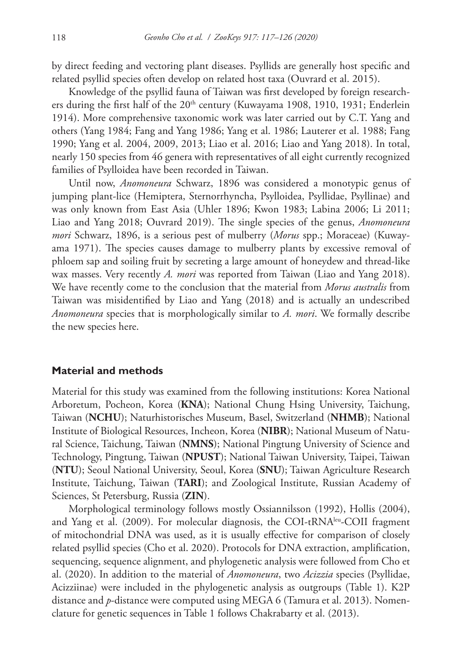by direct feeding and vectoring plant diseases. Psyllids are generally host specific and related psyllid species often develop on related host taxa (Ouvrard et al. 2015).

Knowledge of the psyllid fauna of Taiwan was first developed by foreign researchers during the first half of the 20<sup>th</sup> century (Kuwayama 1908, 1910, 1931; Enderlein 1914). More comprehensive taxonomic work was later carried out by C.T. Yang and others (Yang 1984; Fang and Yang 1986; Yang et al. 1986; Lauterer et al. 1988; Fang 1990; Yang et al. 2004, 2009, 2013; Liao et al. 2016; Liao and Yang 2018). In total, nearly 150 species from 46 genera with representatives of all eight currently recognized families of Psylloidea have been recorded in Taiwan.

Until now, *Anomoneura* Schwarz, 1896 was considered a monotypic genus of jumping plant-lice (Hemiptera, Sternorrhyncha, Psylloidea, Psyllidae, Psyllinae) and was only known from East Asia (Uhler 1896; Kwon 1983; Labina 2006; Li 2011; Liao and Yang 2018; Ouvrard 2019). The single species of the genus, *Anomoneura mori* Schwarz, 1896, is a serious pest of mulberry (*Morus* spp.; Moraceae) (Kuwayama 1971). The species causes damage to mulberry plants by excessive removal of phloem sap and soiling fruit by secreting a large amount of honeydew and thread-like wax masses. Very recently *A. mori* was reported from Taiwan (Liao and Yang 2018). We have recently come to the conclusion that the material from *Morus australis* from Taiwan was misidentified by Liao and Yang (2018) and is actually an undescribed *Anomoneura* species that is morphologically similar to *A. mori*. We formally describe the new species here.

## **Material and methods**

Material for this study was examined from the following institutions: Korea National Arboretum, Pocheon, Korea (**KNA**); National Chung Hsing University, Taichung, Taiwan (**NCHU**); Naturhistorisches Museum, Basel, Switzerland (**NHMB**); National Institute of Biological Resources, Incheon, Korea (**NIBR**); National Museum of Natural Science, Taichung, Taiwan (**NMNS**); National Pingtung University of Science and Technology, Pingtung, Taiwan (**NPUST**); National Taiwan University, Taipei, Taiwan (**NTU**); Seoul National University, Seoul, Korea (**SNU**); Taiwan Agriculture Research Institute, Taichung, Taiwan (**TARI**); and Zoological Institute, Russian Academy of Sciences, St Petersburg, Russia (**ZIN**).

Morphological terminology follows mostly Ossiannilsson (1992), Hollis (2004), and Yang et al. (2009). For molecular diagnosis, the COI-tRNAleu-COII fragment of mitochondrial DNA was used, as it is usually effective for comparison of closely related psyllid species (Cho et al. 2020). Protocols for DNA extraction, amplification, sequencing, sequence alignment, and phylogenetic analysis were followed from Cho et al. (2020). In addition to the material of *Anomoneura*, two *Acizzia* species (Psyllidae, Acizziinae) were included in the phylogenetic analysis as outgroups (Table 1). K2P distance and *p*-distance were computed using MEGA 6 (Tamura et al. 2013). Nomenclature for genetic sequences in Table 1 follows Chakrabarty et al. (2013).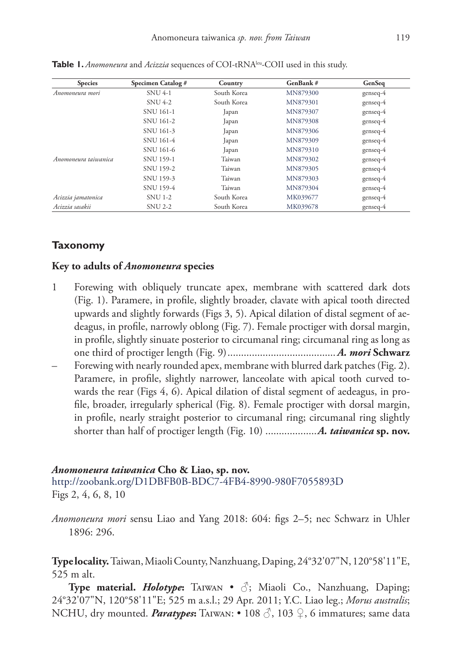| <b>Species</b>       | Specimen Catalog # | Country     | GenBank# | GenSeq     |
|----------------------|--------------------|-------------|----------|------------|
| Anomoneura mori      | <b>SNU 4-1</b>     | South Korea | MN879300 | $genseq-4$ |
|                      | <b>SNU 4-2</b>     | South Korea | MN879301 | genseq-4   |
|                      | SNU 161-1          | Japan       | MN879307 | $genseq-4$ |
|                      | SNU 161-2          | Japan       | MN879308 | $genseq-4$ |
|                      | SNU 161-3          | Japan       | MN879306 | $genseq-4$ |
|                      | SNU 161-4          | Japan       | MN879309 | $genseq-4$ |
|                      | SNU 161-6          | Japan       | MN879310 | $genseq-4$ |
| Anomoneura taiwanica | <b>SNU 159-1</b>   | Taiwan      | MN879302 | $genseq-4$ |
|                      | SNU 159-2          | Taiwan      | MN879305 | $genseq-4$ |
|                      | SNU 159-3          | Taiwan      | MN879303 | $genseq-4$ |
|                      | SNU 159-4          | Taiwan      | MN879304 | genseq-4   |
| Acizzia jamatonica   | <b>SNU 1-2</b>     | South Korea | MK039677 | $genseq-4$ |
| Acizzia sasakii      | <b>SNU 2-2</b>     | South Korea | MK039678 | $genseq-4$ |

Table 1. *Anomoneura* and *Acizzia* sequences of COI-tRNA<sup>leu</sup>-COII used in this study.

# **Taxonomy**

# **Key to adults of** *Anomoneura* **species**

- 1 Forewing with obliquely truncate apex, membrane with scattered dark dots (Fig. 1). Paramere, in profile, slightly broader, clavate with apical tooth directed upwards and slightly forwards (Figs 3, 5). Apical dilation of distal segment of aedeagus, in profile, narrowly oblong (Fig. 7). Female proctiger with dorsal margin, in profile, slightly sinuate posterior to circumanal ring; circumanal ring as long as one third of proctiger length (Fig. 9)........................................ *A. mori* **Schwarz**
- Forewing with nearly rounded apex, membrane with blurred dark patches (Fig. 2). Paramere, in profile, slightly narrower, lanceolate with apical tooth curved towards the rear (Figs 4, 6). Apical dilation of distal segment of aedeagus, in profile, broader, irregularly spherical (Fig. 8). Female proctiger with dorsal margin, in profile, nearly straight posterior to circumanal ring; circumanal ring slightly shorter than half of proctiger length (Fig. 10) ...................*A. taiwanica* **sp. nov.**

#### *Anomoneura taiwanica* **Cho & Liao, sp. nov.**

<http://zoobank.org/D1DBFB0B-BDC7-4FB4-8990-980F7055893D> Figs 2, 4, 6, 8, 10

*Anomoneura mori* sensu Liao and Yang 2018: 604: figs 2–5; nec Schwarz in Uhler 1896: 296.

**Type locality.** Taiwan, Miaoli County, Nanzhuang, Daping, 24°32'07"N, 120°58'11"E, 525 m alt.

**Type material.** *Holotype***:** TAIWAN •  $\Diamond$ ; Miaoli Co., Nanzhuang, Daping; 24°32'07"N, 120°58'11"E; 525 m a.s.l.; 29 Apr. 2011; Y.C. Liao leg.; *Morus australis*; NCHU, dry mounted. *Paratypes***:** Taiwan: • 108 ♂, 103 ♀, 6 immatures; same data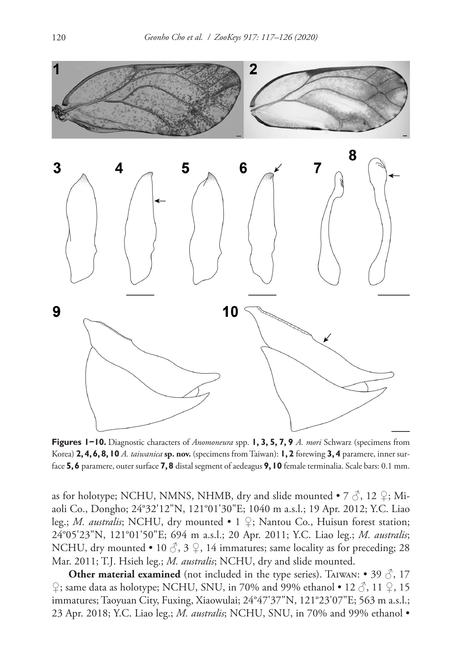

**Figures 1−10.** Diagnostic characters of *Anomoneura* spp. **1, 3, 5, 7, 9** *A. mori* Schwarz (specimens from Korea) **2, 4, 6, 8, 10** *A. taiwanica* **sp. nov.** (specimens from Taiwan): **1, 2** forewing **3, 4** paramere, inner surface **5, 6** paramere, outer surface **7, 8** distal segment of aedeagus **9, 10** female terminalia. Scale bars: 0.1 mm.

as for holotype; NCHU, NMNS, NHMB, dry and slide mounted • 7  $\Im$ , 12  $\Im$ ; Miaoli Co., Dongho; 24°32'12"N, 121°01'30"E; 1040 m a.s.l.; 19 Apr. 2012; Y.C. Liao leg.; *M. australis*; NCHU, dry mounted • 1 ♀; Nantou Co., Huisun forest station; 24°05'23"N, 121°01'50"E; 694 m a.s.l.; 20 Apr. 2011; Y.C. Liao leg.; *M. australis*; NCHU, dry mounted • 10  $\circled{3}$ , 3  $\circled{2}$ , 14 immatures; same locality as for preceding; 28 Mar. 2011; T.J. Hsieh leg.; *M. australis*; NCHU, dry and slide mounted.

**Other material examined** (not included in the type series). TAIWAN: • 39  $\circled{3}$ , 17  $\varphi$ ; same data as holotype; NCHU, SNU, in 70% and 99% ethanol • 12  $\varphi$ , 11  $\varphi$ , 15 immatures; Taoyuan City, Fuxing, Xiaowulai; 24°47'37"N, 121°23'07"E; 563 m a.s.l.; 23 Apr. 2018; Y.C. Liao leg.; *M. australis*; NCHU, SNU, in 70% and 99% ethanol •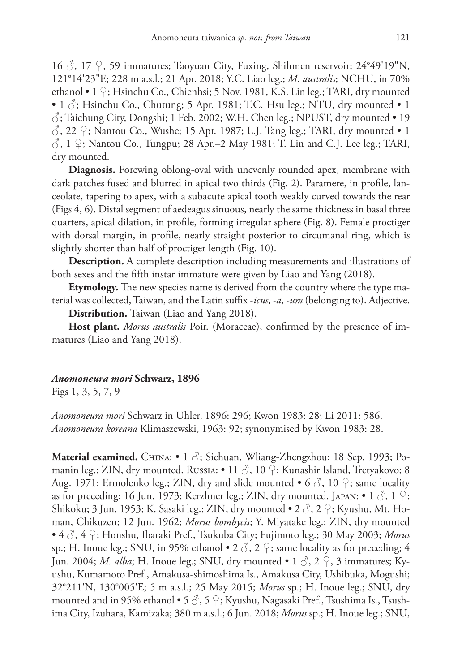$16 \text{ } \textcircled{}$ , 17  $\textcircled{}$ , 59 immatures; Taoyuan City, Fuxing, Shihmen reservoir; 24°49'19"N, 121°14'23"E; 228 m a.s.l.; 21 Apr. 2018; Y.C. Liao leg.; *M. australis*; NCHU, in 70% ethanol • 1 ♀; Hsinchu Co., Chienhsi; 5 Nov. 1981, K.S. Lin leg.; TARI, dry mounted • 1  $\Diamond$ ; Hsinchu Co., Chutung; 5 Apr. 1981; T.C. Hsu leg.; NTU, dry mounted • 1 ♂; Taichung City, Dongshi; 1 Feb. 2002; W.H. Chen leg.; NPUST, dry mounted • 19  $\beta$ , 22  $\circ$ ; Nantou Co., Wushe; 15 Apr. 1987; L.J. Tang leg.; TARI, dry mounted • 1  $\langle \hat{\zeta}, 1 \rangle$ ; Nantou Co., Tungpu; 28 Apr.–2 May 1981; T. Lin and C.J. Lee leg.; TARI, dry mounted.

**Diagnosis.** Forewing oblong-oval with unevenly rounded apex, membrane with dark patches fused and blurred in apical two thirds (Fig. 2). Paramere, in profile, lanceolate, tapering to apex, with a subacute apical tooth weakly curved towards the rear (Figs 4, 6). Distal segment of aedeagus sinuous, nearly the same thickness in basal three quarters, apical dilation, in profile, forming irregular sphere (Fig. 8). Female proctiger with dorsal margin, in profile, nearly straight posterior to circumanal ring, which is slightly shorter than half of proctiger length (Fig. 10).

**Description.** A complete description including measurements and illustrations of both sexes and the fifth instar immature were given by Liao and Yang (2018).

**Etymology.** The new species name is derived from the country where the type material was collected, Taiwan, and the Latin suffix *-icus*, *-a*, *-um* (belonging to). Adjective.

**Distribution.** Taiwan (Liao and Yang 2018).

**Host plant.** *Morus australis* Poir. (Moraceae), confirmed by the presence of immatures (Liao and Yang 2018).

## *Anomoneura mori* **Schwarz, 1896**

Figs 1, 3, 5, 7, 9

*Anomoneura mori* Schwarz in Uhler, 1896: 296; Kwon 1983: 28; Li 2011: 586. *Anomoneura koreana* Klimaszewski, 1963: 92; synonymised by Kwon 1983: 28.

**Material examined.** China: • 1 ♂; Sichuan, Wliang-Zhengzhou; 18 Sep. 1993; Pomanin leg.; ZIN, dry mounted. Russia: • 11 ♂, 10 ♀; Kunashir Island, Tretyakovo; 8 Aug. 1971; Ermolenko leg.; ZIN, dry and slide mounted • 6  $\circ$ , 10  $\circ$ ; same locality as for preceding; 16 Jun. 1973; Kerzhner leg.; ZIN, dry mounted. JAPAN: • 1  $\Im$ , 1  $\Im$ ; Shikoku; 3 Jun. 1953; K. Sasaki leg.; ZIN, dry mounted • 2  $\Diamond$ , 2  $\Diamond$ ; Kyushu, Mt. Homan, Chikuzen; 12 Jun. 1962; *Morus bombycis*; Y. Miyatake leg.; ZIN, dry mounted • 4 ♂, 4 ♀; Honshu, Ibaraki Pref., Tsukuba City; Fujimoto leg.; 30 May 2003; *Morus*  sp.; H. Inoue leg.; SNU, in 95% ethanol  $\bullet$  2  $\circ$ , 2  $\circ$ ; same locality as for preceding; 4 Jun. 2004; *M. alba*; H. Inoue leg.; SNU, dry mounted • 1 ♂, 2 ♀, 3 immatures; Kyushu, Kumamoto Pref., Amakusa-shimoshima Is., Amakusa City, Ushibuka, Mogushi; 32°211'N, 130°005'E; 5 m a.s.l.; 25 May 2015; *Morus* sp.; H. Inoue leg.; SNU, dry mounted and in 95% ethanol • 5  $\circled{S}$ , 5  $\circled{F}$ ; Kyushu, Nagasaki Pref., Tsushima Is., Tsushima City, Izuhara, Kamizaka; 380 m a.s.l.; 6 Jun. 2018; *Morus* sp.; H. Inoue leg.; SNU,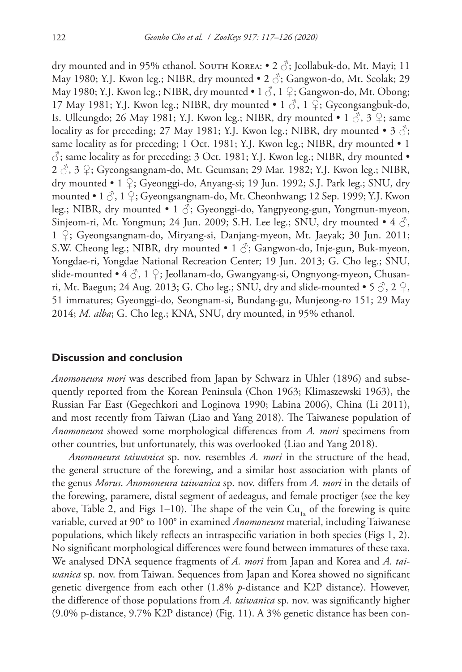dry mounted and in 95% ethanol. South Korea: • 2  $\Im$ ; Jeollabuk-do, Mt. Mayi; 11 May 1980; Y.J. Kwon leg.; NIBR, dry mounted  $\bullet$  2  $\circ$ ; Gangwon-do, Mt. Seolak; 29 May 1980; Y.J. Kwon leg.; NIBR, dry mounted  $\bullet$  1  $\Diamond$ , 1  $\Diamond$ ; Gangwon-do, Mt. Obong; 17 May 1981; Y.J. Kwon leg.; NIBR, dry mounted • 1  $\circ$ , 1  $\circ$ ; Gyeongsangbuk-do, Is. Ulleungdo; 26 May 1981; Y.J. Kwon leg.; NIBR, dry mounted • 1  $\Diamond$ , 3  $\Diamond$ ; same locality as for preceding; 27 May 1981; Y.J. Kwon leg.; NIBR, dry mounted • 3  $\hat{\circ}$ ; same locality as for preceding; 1 Oct. 1981; Y.J. Kwon leg.; NIBR, dry mounted • 1  $\circlearrowleft$ ; same locality as for preceding; 3 Oct. 1981; Y.J. Kwon leg.; NIBR, dry mounted • 2 ♂, 3 ♀; Gyeongsangnam-do, Mt. Geumsan; 29 Mar. 1982; Y.J. Kwon leg.; NIBR, dry mounted • 1 ♀; Gyeonggi-do, Anyang-si; 19 Jun. 1992; S.J. Park leg.; SNU, dry mounted • 1  $\beta$ , 1  $\Omega$ ; Gyeongsangnam-do, Mt. Cheonhwang; 12 Sep. 1999; Y.J. Kwon leg.; NIBR, dry mounted • 1  $\Diamond$ ; Gyeonggi-do, Yangpyeong-gun, Yongmun-myeon, Sinjeom-ri, Mt. Yongmun; 24 Jun. 2009; S.H. Lee leg.; SNU, dry mounted  $\bullet$  4  $\circ$ , 1 ♀; Gyeongsangnam-do, Miryang-si, Danjang-myeon, Mt. Jaeyak; 30 Jun. 2011; S.W. Cheong leg.; NIBR, dry mounted • 1  $\Diamond$ ; Gangwon-do, Inje-gun, Buk-myeon, Yongdae-ri, Yongdae National Recreation Center; 19 Jun. 2013; G. Cho leg.; SNU, slide-mounted •  $4 \textcircled{3}$ , 1  $\textcircled{2}$ ; Jeollanam-do, Gwangyang-si, Ongnyong-myeon, Chusanri, Mt. Baegun; 24 Aug. 2013; G. Cho leg.; SNU, dry and slide-mounted •  $5\sqrt{3}$ , 2  $\sqrt{2}$ , 51 immatures; Gyeonggi-do, Seongnam-si, Bundang-gu, Munjeong-ro 151; 29 May 2014; *M. alba*; G. Cho leg.; KNA, SNU, dry mounted, in 95% ethanol.

#### **Discussion and conclusion**

*Anomoneura mori* was described from Japan by Schwarz in Uhler (1896) and subsequently reported from the Korean Peninsula (Chon 1963; Klimaszewski 1963), the Russian Far East (Gegechkori and Loginova 1990; Labina 2006), China (Li 2011), and most recently from Taiwan (Liao and Yang 2018). The Taiwanese population of *Anomoneura* showed some morphological differences from *A. mori* specimens from other countries, but unfortunately, this was overlooked (Liao and Yang 2018).

*Anomoneura taiwanica* sp. nov. resembles *A. mori* in the structure of the head, the general structure of the forewing, and a similar host association with plants of the genus *Morus*. *Anomoneura taiwanica* sp. nov. differs from *A. mori* in the details of the forewing, paramere, distal segment of aedeagus, and female proctiger (see the key above, Table 2, and Figs 1–10). The shape of the vein  $Cu<sub>1</sub>$  of the forewing is quite variable, curved at 90° to 100° in examined *Anomoneura* material, including Taiwanese populations, which likely reflects an intraspecific variation in both species (Figs 1, 2). No significant morphological differences were found between immatures of these taxa. We analysed DNA sequence fragments of *A. mori* from Japan and Korea and *A. taiwanica* sp. nov. from Taiwan. Sequences from Japan and Korea showed no significant genetic divergence from each other (1.8% *p*-distance and K2P distance). However, the difference of those populations from *A. taiwanica* sp. nov. was significantly higher (9.0% p-distance, 9.7% K2P distance) (Fig. 11). A 3% genetic distance has been con-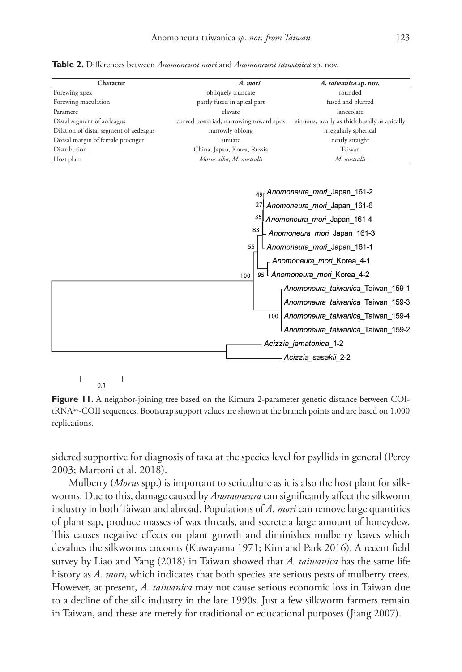**Table 2.** Differences between *Anomoneura mori* and *Anomoneura taiwanica* sp. nov.

| Character                              | A. mori                                 | A. taiwanica sp. nov.                        |
|----------------------------------------|-----------------------------------------|----------------------------------------------|
| Forewing apex                          | obliquely truncate                      | rounded                                      |
| Forewing maculation                    | partly fused in apical part             | fused and blurred                            |
| Paramere                               | clavate                                 | lanceolate                                   |
| Distal segment of aedeagus             | curved posteriad, narrowing toward apex | sinuous, nearly as thick basally as apically |
| Dilation of distal segment of aedeagus | narrowly oblong                         | irregularly spherical                        |
| Dorsal margin of female proctiger      | sinuate                                 | nearly straight                              |
| Distribution                           | China, Japan, Korea, Russia             | Taiwan                                       |
| Host plant                             | Morus alba, M. australis                | M. australis                                 |



 $0.1$ 

**Figure 11.** A neighbor-joining tree based on the Kimura 2-parameter genetic distance between COItRNAleu-COII sequences. Bootstrap support values are shown at the branch points and are based on 1,000 replications.

sidered supportive for diagnosis of taxa at the species level for psyllids in general (Percy 2003; Martoni et al. 2018).

Mulberry (*Morus* spp.) is important to sericulture as it is also the host plant for silkworms. Due to this, damage caused by *Anomoneura* can significantly affect the silkworm industry in both Taiwan and abroad. Populations of *A. mori* can remove large quantities of plant sap, produce masses of wax threads, and secrete a large amount of honeydew. This causes negative effects on plant growth and diminishes mulberry leaves which devalues the silkworms cocoons (Kuwayama 1971; Kim and Park 2016). A recent field survey by Liao and Yang (2018) in Taiwan showed that *A. taiwanica* has the same life history as *A. mori*, which indicates that both species are serious pests of mulberry trees. However, at present, *A. taiwanica* may not cause serious economic loss in Taiwan due to a decline of the silk industry in the late 1990s. Just a few silkworm farmers remain in Taiwan, and these are merely for traditional or educational purposes (Jiang 2007).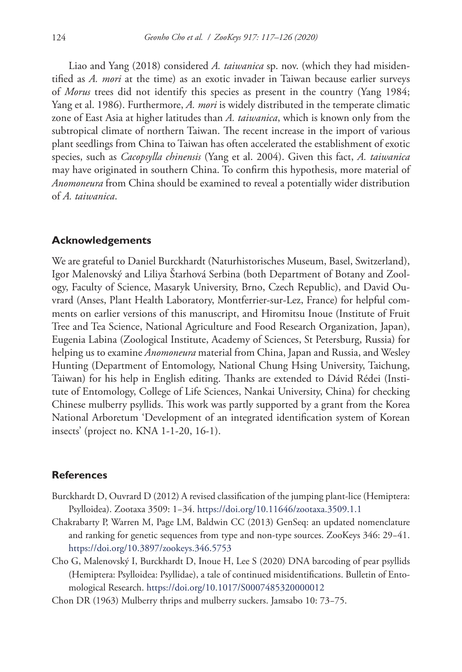Liao and Yang (2018) considered *A. taiwanica* sp. nov. (which they had misidentified as *A. mori* at the time) as an exotic invader in Taiwan because earlier surveys of *Morus* trees did not identify this species as present in the country (Yang 1984; Yang et al. 1986). Furthermore, *A. mori* is widely distributed in the temperate climatic zone of East Asia at higher latitudes than *A. taiwanica*, which is known only from the subtropical climate of northern Taiwan. The recent increase in the import of various plant seedlings from China to Taiwan has often accelerated the establishment of exotic species, such as *Cacopsylla chinensis* (Yang et al. 2004). Given this fact, *A. taiwanica* may have originated in southern China. To confirm this hypothesis, more material of *Anomoneura* from China should be examined to reveal a potentially wider distribution of *A. taiwanica*.

## **Acknowledgements**

We are grateful to Daniel Burckhardt (Naturhistorisches Museum, Basel, Switzerland), Igor Malenovský and Liliya Štarhová Serbina (both Department of Botany and Zoology, Faculty of Science, Masaryk University, Brno, Czech Republic), and David Ouvrard (Anses, Plant Health Laboratory, Montferrier-sur-Lez, France) for helpful comments on earlier versions of this manuscript, and Hiromitsu Inoue (Institute of Fruit Tree and Tea Science, National Agriculture and Food Research Organization, Japan), Eugenia Labina (Zoological Institute, Academy of Sciences, St Petersburg, Russia) for helping us to examine *Anomoneura* material from China, Japan and Russia, and Wesley Hunting (Department of Entomology, National Chung Hsing University, Taichung, Taiwan) for his help in English editing. Thanks are extended to Dávid Rédei (Institute of Entomology, College of Life Sciences, Nankai University, China) for checking Chinese mulberry psyllids. This work was partly supported by a grant from the Korea National Arboretum 'Development of an integrated identification system of Korean insects' (project no. KNA 1-1-20, 16-1).

# **References**

- Burckhardt D, Ouvrard D (2012) A revised classification of the jumping plant-lice (Hemiptera: Psylloidea). Zootaxa 3509: 1−34. <https://doi.org/10.11646/zootaxa.3509.1.1>
- Chakrabarty P, Warren M, Page LM, Baldwin CC (2013) GenSeq: an updated nomenclature and ranking for genetic sequences from type and non-type sources. ZooKeys 346: 29−41. <https://doi.org/10.3897/zookeys.346.5753>
- Cho G, Malenovský I, Burckhardt D, Inoue H, Lee S (2020) DNA barcoding of pear psyllids (Hemiptera: Psylloidea: Psyllidae), a tale of continued misidentifications. Bulletin of Entomological Research.<https://doi.org/10.1017/S0007485320000012>
- Chon DR (1963) Mulberry thrips and mulberry suckers. Jamsabo 10: 73−75.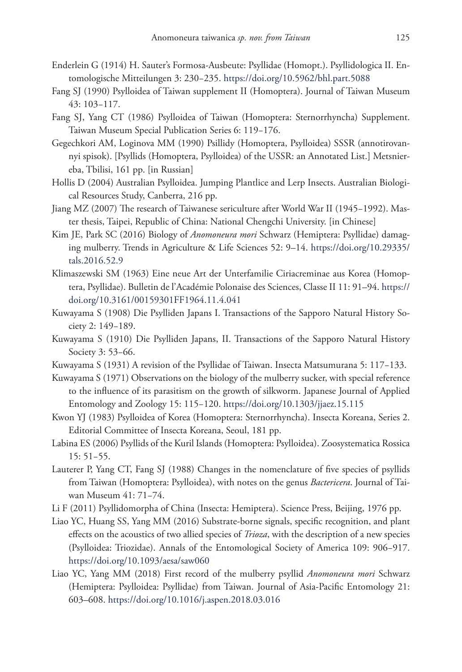- Enderlein G (1914) H. Sauter's Formosa-Ausbeute: Psyllidae (Homopt.). Psyllidologica II. Entomologische Mitteilungen 3: 230−235. <https://doi.org/10.5962/bhl.part.5088>
- Fang SJ (1990) Psylloidea of Taiwan supplement II (Homoptera). Journal of Taiwan Museum 43: 103−117.
- Fang SJ, Yang CT (1986) Psylloidea of Taiwan (Homoptera: Sternorrhyncha) Supplement. Taiwan Museum Special Publication Series 6: 119−176.
- Gegechkori AM, Loginova MM (1990) Psillidy (Homoptera, Psylloidea) SSSR (annotirovannyi spisok). [Psyllids (Homoptera, Psylloidea) of the USSR: an Annotated List.] Metsniereba, Tbilisi, 161 pp. [in Russian]
- Hollis D (2004) Australian Psylloidea. Jumping Plantlice and Lerp Insects. Australian Biological Resources Study, Canberra, 216 pp.
- Jiang MZ (2007) The research of Taiwanese sericulture after World War II (1945−1992). Master thesis, Taipei, Republic of China: National Chengchi University. [in Chinese]
- Kim JE, Park SC (2016) Biology of *Anomoneura mori* Schwarz (Hemiptera: Psyllidae) damaging mulberry. Trends in Agriculture & Life Sciences 52: 9–14. [https://doi.org/10.29335/](https://doi.org/10.29335/tals.2016.52.9) [tals.2016.52.9](https://doi.org/10.29335/tals.2016.52.9)
- Klimaszewski SM (1963) Eine neue Art der Unterfamilie Ciriacreminae aus Korea (Homoptera, Psyllidae). Bulletin de l'Académie Polonaise des Sciences, Classe II 11: 91–94. [https://](https://doi.org/10.3161/00159301FF1964.11.4.041) [doi.org/10.3161/00159301FF1964.11.4.041](https://doi.org/10.3161/00159301FF1964.11.4.041)
- Kuwayama S (1908) Die Psylliden Japans I. Transactions of the Sapporo Natural History Society 2: 149−189.
- Kuwayama S (1910) Die Psylliden Japans, II. Transactions of the Sapporo Natural History Society 3: 53−66.
- Kuwayama S (1931) A revision of the Psyllidae of Taiwan. Insecta Matsumurana 5: 117−133.
- Kuwayama S (1971) Observations on the biology of the mulberry sucker, with special reference to the influence of its parasitism on the growth of silkworm. Japanese Journal of Applied Entomology and Zoology 15: 115−120.<https://doi.org/10.1303/jjaez.15.115>
- Kwon YJ (1983) Psylloidea of Korea (Homoptera: Sternorrhyncha). Insecta Koreana, Series 2. Editorial Committee of Insecta Koreana, Seoul, 181 pp.
- Labina ES (2006) Psyllids of the Kuril Islands (Homoptera: Psylloidea). Zoosystematica Rossica 15: 51−55.
- Lauterer P, Yang CT, Fang SJ (1988) Changes in the nomenclature of five species of psyllids from Taiwan (Homoptera: Psylloidea), with notes on the genus *Bactericera*. Journal of Taiwan Museum 41: 71−74.
- Li F (2011) Psyllidomorpha of China (Insecta: Hemiptera). Science Press, Beijing, 1976 pp.
- Liao YC, Huang SS, Yang MM (2016) Substrate-borne signals, specific recognition, and plant effects on the acoustics of two allied species of *Trioza*, with the description of a new species (Psylloidea: Triozidae). Annals of the Entomological Society of America 109: 906−917. <https://doi.org/10.1093/aesa/saw060>
- Liao YC, Yang MM (2018) First record of the mulberry psyllid *Anomoneura mori* Schwarz (Hemiptera: Psylloidea: Psyllidae) from Taiwan. Journal of Asia-Pacific Entomology 21: 603–608.<https://doi.org/10.1016/j.aspen.2018.03.016>